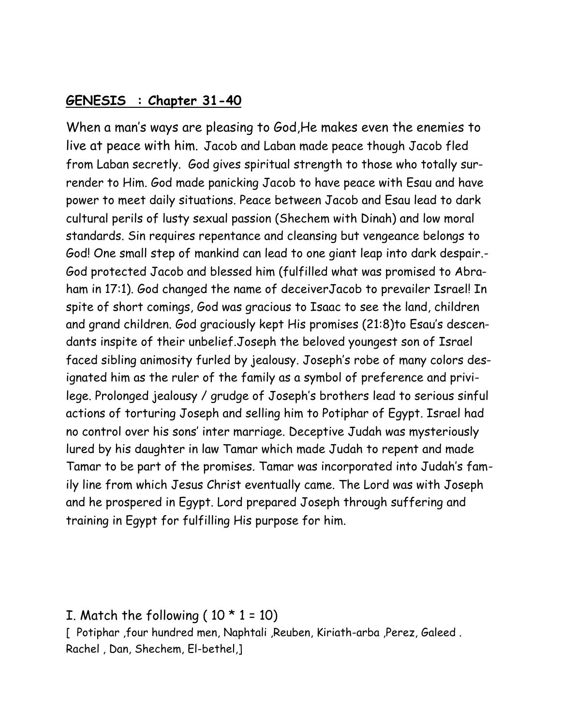#### **GENESIS : Chapter 31-40**

When a man's ways are pleasing to God,He makes even the enemies to live at peace with him. Jacob and Laban made peace though Jacob fled from Laban secretly. God gives spiritual strength to those who totally surrender to Him. God made panicking Jacob to have peace with Esau and have power to meet daily situations. Peace between Jacob and Esau lead to dark cultural perils of lusty sexual passion (Shechem with Dinah) and low moral standards. Sin requires repentance and cleansing but vengeance belongs to God! One small step of mankind can lead to one giant leap into dark despair.- God protected Jacob and blessed him (fulfilled what was promised to Abraham in 17:1). God changed the name of deceiverJacob to prevailer Israel! In spite of short comings, God was gracious to Isaac to see the land, children and grand children. God graciously kept His promises (21:8)to Esau's descendants inspite of their unbelief.Joseph the beloved youngest son of Israel faced sibling animosity furled by jealousy. Joseph's robe of many colors designated him as the ruler of the family as a symbol of preference and privilege. Prolonged jealousy / grudge of Joseph's brothers lead to serious sinful actions of torturing Joseph and selling him to Potiphar of Egypt. Israel had no control over his sons' inter marriage. Deceptive Judah was mysteriously lured by his daughter in law Tamar which made Judah to repent and made Tamar to be part of the promises. Tamar was incorporated into Judah's family line from which Jesus Christ eventually came. The Lord was with Joseph and he prospered in Egypt. Lord prepared Joseph through suffering and training in Egypt for fulfilling His purpose for him.

I. Match the following ( $10 * 1 = 10$ )

[ Potiphar ,four hundred men, Naphtali ,Reuben, Kiriath-arba ,Perez, Galeed . Rachel , Dan, Shechem, El-bethel,]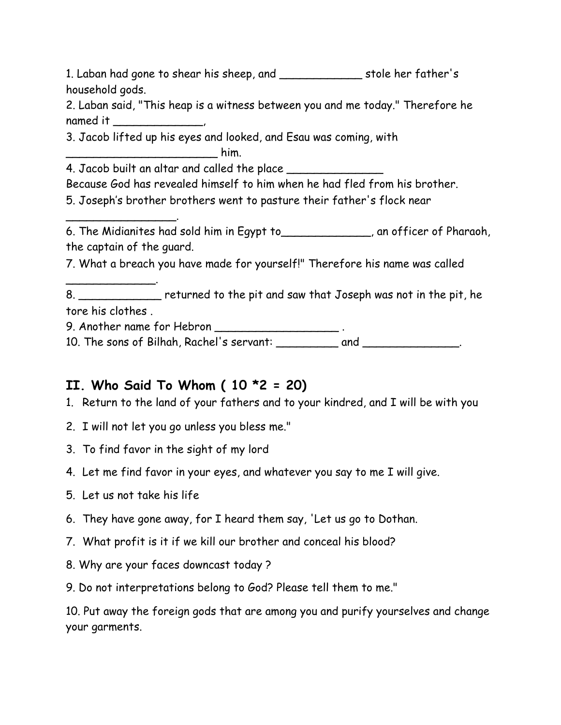1. Laban had gone to shear his sheep, and \_\_\_\_\_\_\_\_\_\_\_\_ stole her father's household gods.

2. Laban said, "This heap is a witness between you and me today." Therefore he named it \_\_\_\_\_\_\_\_\_\_\_\_,

3. Jacob lifted up his eyes and looked, and Esau was coming, with

 $\mathsf{him}$ .

\_\_\_\_\_\_\_\_\_\_\_\_\_\_\_\_.

\_\_\_\_\_\_\_\_\_\_\_\_\_.

4. Jacob built an altar and called the place

Because God has revealed himself to him when he had fled from his brother.

5. Joseph's brother brothers went to pasture their father's flock near

6. The Midianites had sold him in Egypt to\_\_\_\_\_\_\_\_\_\_\_\_\_, an officer of Pharaoh, the captain of the guard.

7. What a breach you have made for yourself!" Therefore his name was called

8. \_\_\_\_\_\_\_\_\_\_\_\_ returned to the pit and saw that Joseph was not in the pit, he tore his clothes .

9. Another name for Hebron \_\_\_\_\_\_\_\_\_\_\_\_\_\_\_\_\_\_\_\_\_\_\_\_\_.

10. The sons of Bilhah, Rachel's servant: \_\_\_\_\_\_\_\_\_\_ and \_\_\_\_\_\_\_\_\_\_\_\_\_\_\_.

# **II. Who Said To Whom ( 10 \*2 = 20)**

1. Return to the land of your fathers and to your kindred, and I will be with you

- 2. I will not let you go unless you bless me."
- 3. To find favor in the sight of my lord
- 4. Let me find favor in your eyes, and whatever you say to me I will give.
- 5. Let us not take his life
- 6. They have gone away, for I heard them say, 'Let us go to Dothan.
- 7. What profit is it if we kill our brother and conceal his blood?
- 8. Why are your faces downcast today ?
- 9. Do not interpretations belong to God? Please tell them to me."

10. Put away the foreign gods that are among you and purify yourselves and change your garments.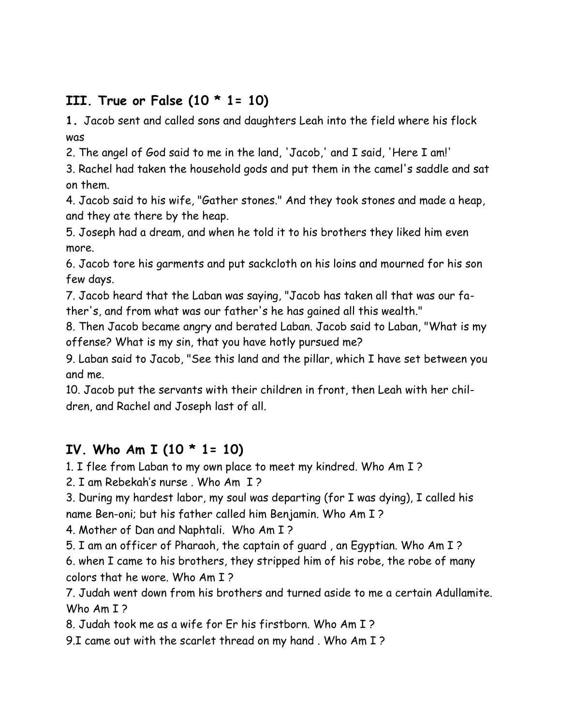# **III. True or False (10 \* 1= 10)**

**1.** Jacob sent and called sons and daughters Leah into the field where his flock was

2. The angel of God said to me in the land, 'Jacob,' and I said, 'Here I am!'

3. Rachel had taken the household gods and put them in the camel's saddle and sat on them.

4. Jacob said to his wife, "Gather stones." And they took stones and made a heap, and they ate there by the heap.

5. Joseph had a dream, and when he told it to his brothers they liked him even more.

6. Jacob tore his garments and put sackcloth on his loins and mourned for his son few days.

7. Jacob heard that the Laban was saying, "Jacob has taken all that was our father's, and from what was our father's he has gained all this wealth."

8. Then Jacob became angry and berated Laban. Jacob said to Laban, "What is my offense? What is my sin, that you have hotly pursued me?

9. Laban said to Jacob, "See this land and the pillar, which I have set between you and me.

10. Jacob put the servants with their children in front, then Leah with her children, and Rachel and Joseph last of all.

# **IV. Who Am I (10 \* 1= 10)**

1. I flee from Laban to my own place to meet my kindred. Who Am I ?

2. I am Rebekah's nurse . Who Am I ?

3. During my hardest labor, my soul was departing (for I was dying), I called his name Ben-oni; but his father called him Benjamin. Who Am I ?

4. Mother of Dan and Naphtali. Who Am I ?

5. I am an officer of Pharaoh, the captain of guard , an Egyptian. Who Am I ? 6. when I came to his brothers, they stripped him of his robe, the robe of many colors that he wore. Who Am I ?

7. Judah went down from his brothers and turned aside to me a certain Adullamite. Who Am I?

8. Judah took me as a wife for Er his firstborn. Who Am I ?

9.I came out with the scarlet thread on my hand . Who Am I ?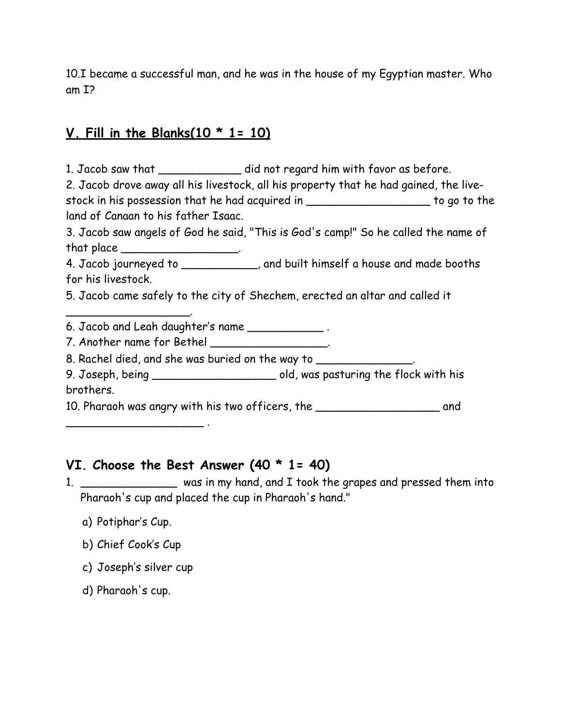10.I became a successful man, and he was in the house of my Egyptian master. Who am I?

### **V. Fill in the Blanks(10 \* 1= 10)**

1. Jacob saw that \_\_\_\_\_\_\_\_\_\_\_\_\_ did not regard him with favor as before.

2. Jacob drove away all his livestock, all his property that he had gained, the livestock in his possession that he had acquired in \_\_\_\_\_\_\_\_\_\_\_\_\_\_\_\_\_\_ to go to the land of Canaan to his father Isaac.

3. Jacob saw angels of God he said, "This is God's camp!" So he called the name of that place \_\_\_\_\_\_\_\_\_\_\_\_\_\_\_\_\_\_\_.

4. Jacob journeyed to \_\_\_\_\_\_\_\_\_\_\_, and built himself a house and made booths for his livestock.

5. Jacob came safely to the city of Shechem, erected an altar and called it

6. Jacob and Leah daughter's name \_\_\_\_\_\_\_\_\_\_\_ .

7. Another name for Bethel \_\_\_\_\_\_\_\_\_\_\_\_\_\_\_\_\_\_.

8. Rachel died, and she was buried on the way to  $\sim$ 

9. Joseph, being \_\_\_\_\_\_\_\_\_\_\_\_\_\_\_\_\_\_ old, was pasturing the flock with his brothers.

10. Pharaoh was angry with his two officers, the \_\_\_\_\_\_\_\_\_\_\_\_\_\_\_\_\_\_ and

### **VI. Choose the Best Answer (40 \* 1= 40)**

1. \_\_\_\_\_\_\_\_\_\_\_\_\_\_ was in my hand, and I took the grapes and pressed them into Pharaoh's cup and placed the cup in Pharaoh's hand."

a) Potiphar's Cup.

 $\overline{\phantom{a}}$ 

- b) Chief Cook's Cup
- c) Joseph's silver cup

\_\_\_\_\_\_\_\_\_\_\_\_\_\_\_\_\_\_\_\_ .

d) Pharaoh's cup.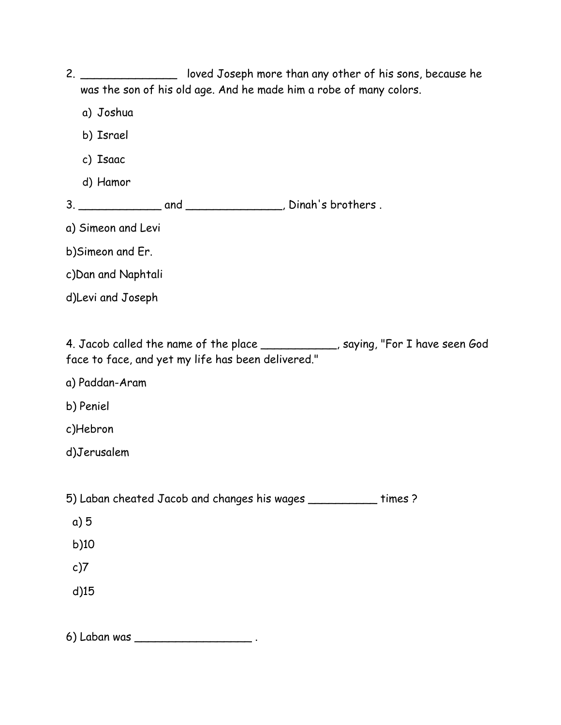| 2 <sub>1</sub> | loved Joseph more than any other of his sons, because he<br>was the son of his old age. And he made him a robe of many colors.         |  |  |  |
|----------------|----------------------------------------------------------------------------------------------------------------------------------------|--|--|--|
|                | a) Joshua                                                                                                                              |  |  |  |
|                | b) Israel                                                                                                                              |  |  |  |
|                | c) Isaac                                                                                                                               |  |  |  |
|                | d) Hamor                                                                                                                               |  |  |  |
|                |                                                                                                                                        |  |  |  |
|                | a) Simeon and Levi                                                                                                                     |  |  |  |
|                | b) Simeon and Er.                                                                                                                      |  |  |  |
|                | c) Dan and Naphtali                                                                                                                    |  |  |  |
|                | d)Levi and Joseph                                                                                                                      |  |  |  |
|                |                                                                                                                                        |  |  |  |
|                | 4. Jacob called the name of the place ____________, saying, "For I have seen God<br>face to face, and yet my life has been delivered." |  |  |  |
|                | a) Paddan-Aram                                                                                                                         |  |  |  |
|                | b) Peniel                                                                                                                              |  |  |  |
|                | c)Hebron                                                                                                                               |  |  |  |
|                | d)Jerusalem                                                                                                                            |  |  |  |
|                |                                                                                                                                        |  |  |  |
|                | 5) Laban cheated Jacob and changes his wages ___________ times ?                                                                       |  |  |  |
|                | a)5                                                                                                                                    |  |  |  |
|                | b)10                                                                                                                                   |  |  |  |
|                | c)7                                                                                                                                    |  |  |  |
|                | $d$ )15                                                                                                                                |  |  |  |
|                |                                                                                                                                        |  |  |  |

6) Laban was \_\_\_\_\_\_\_\_\_\_\_\_\_\_\_\_\_ .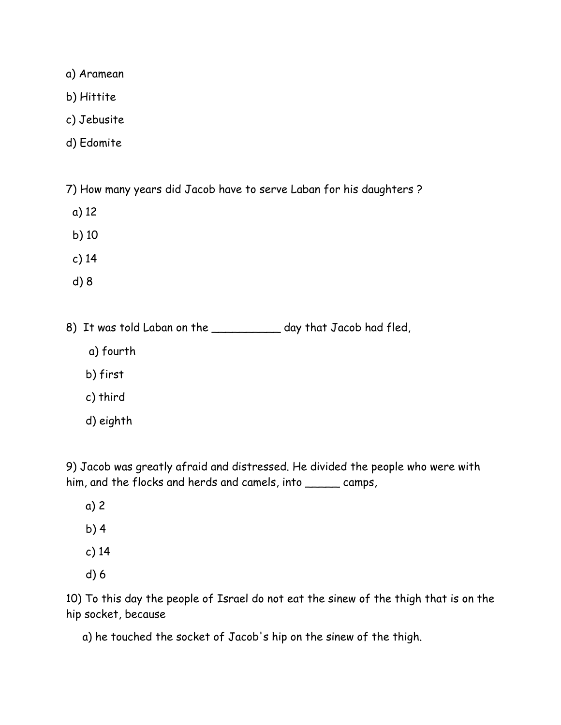a) Aramean

- b) Hittite
- c) Jebusite
- d) Edomite

7) How many years did Jacob have to serve Laban for his daughters ?

- a) 12
- b) 10
- c) 14
- d) 8

8) It was told Laban on the \_\_\_\_\_\_\_\_\_\_\_ day that Jacob had fled,

- a) fourth
- b) first
- c) third
- d) eighth

9) Jacob was greatly afraid and distressed. He divided the people who were with him, and the flocks and herds and camels, into \_\_\_\_\_\_ camps,

- a) 2
- b) 4
- c) 14
- d) 6

10) To this day the people of Israel do not eat the sinew of the thigh that is on the hip socket, because

a) he touched the socket of Jacob's hip on the sinew of the thigh.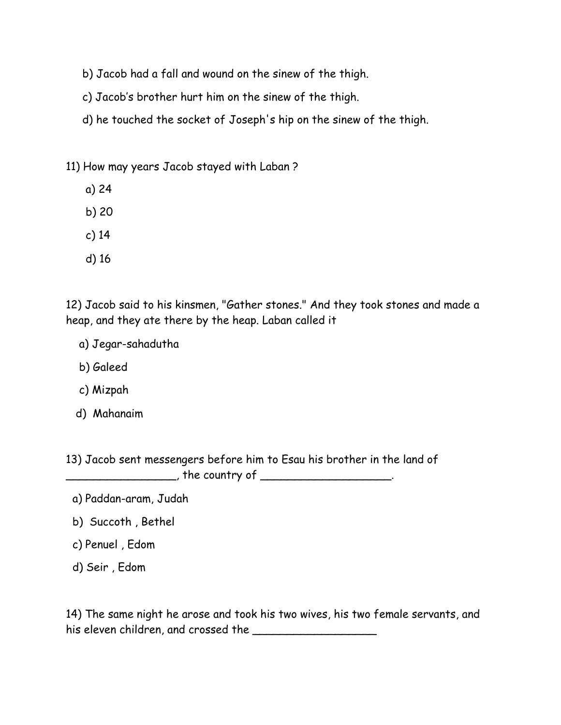- b) Jacob had a fall and wound on the sinew of the thigh.
- c) Jacob's brother hurt him on the sinew of the thigh.
- d) he touched the socket of Joseph's hip on the sinew of the thigh.

#### 11) How may years Jacob stayed with Laban ?

- a) 24
- b) 20
- c) 14
- d) 16

12) Jacob said to his kinsmen, "Gather stones." And they took stones and made a heap, and they ate there by the heap. Laban called it

- a) Jegar-sahadutha
- b) Galeed
- c) Mizpah
- d) Mahanaim

13) Jacob sent messengers before him to Esau his brother in the land of \_\_\_\_\_\_\_\_\_\_\_\_\_\_\_\_, the country of \_\_\_\_\_\_\_\_\_\_\_\_\_\_\_\_\_\_\_.

- a) Paddan-aram, Judah
- b) Succoth , Bethel
- c) Penuel , Edom
- d) Seir , Edom

14) The same night he arose and took his two wives, his two female servants, and his eleven children, and crossed the **with the contract of the contract of the state of the state of the state o**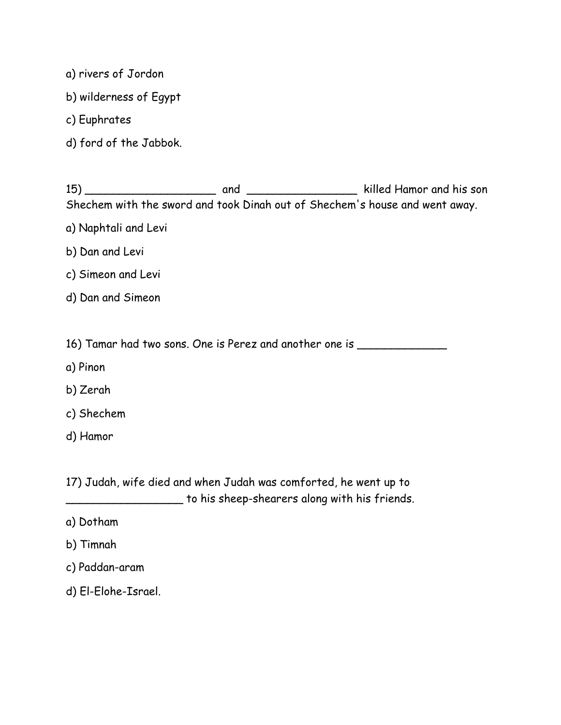- a) rivers of Jordon
- b) wilderness of Egypt
- c) Euphrates
- d) ford of the Jabbok.

| 15) | and                                                                         |  | killed Hamor and his son |
|-----|-----------------------------------------------------------------------------|--|--------------------------|
|     | Shechem with the sword and took Dinah out of Shechem's house and went away. |  |                          |

- a) Naphtali and Levi
- b) Dan and Levi
- c) Simeon and Levi
- d) Dan and Simeon
- 16) Tamar had two sons. One is Perez and another one is \_\_\_\_\_\_\_\_\_\_\_\_\_\_\_\_\_\_\_\_\_\_\_\_
- a) Pinon
- b) Zerah
- c) Shechem
- d) Hamor

17) Judah, wife died and when Judah was comforted, he went up to \_\_\_\_\_\_\_\_\_\_\_\_\_\_\_\_\_ to his sheep-shearers along with his friends.

- a) Dotham
- b) Timnah
- c) Paddan-aram
- d) El-Elohe-Israel.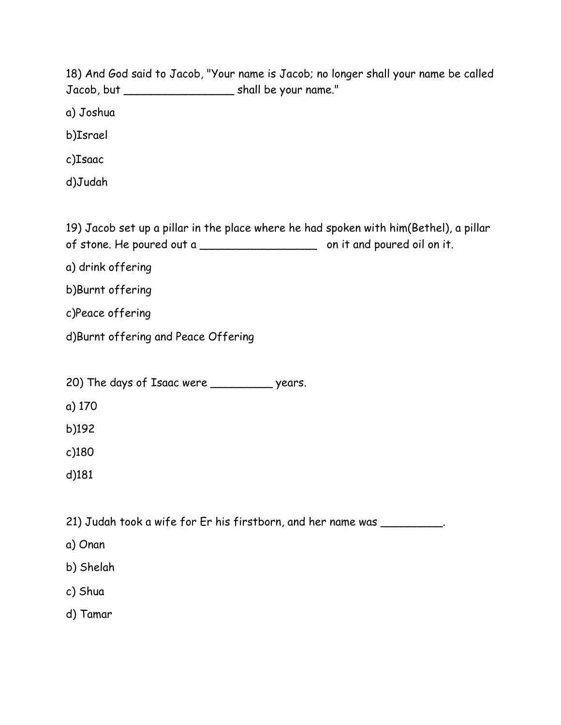18) And God said to Jacob, "Your name is Jacob; no longer shall your name be called Jacob, but \_\_\_\_\_\_\_\_\_\_\_\_\_\_\_\_ shall be your name."

a) Joshua

b)Israel

c)Isaac

d)Judah

19) Jacob set up a pillar in the place where he had spoken with him(Bethel), a pillar of stone. He poured out a \_\_\_\_\_\_\_\_\_\_\_\_\_\_\_\_\_ on it and poured oil on it.

a) drink offering

b)Burnt offering

c)Peace offering

d)Burnt offering and Peace Offering

20) The days of Isaac were \_\_\_\_\_\_\_\_\_ years.

a) 170

b)192

c)180

d)181

21) Judah took a wife for Er his firstborn, and her name was \_\_\_\_\_\_\_\_\_\_.

- a) Onan
- b) Shelah
- c) Shua

d) Tamar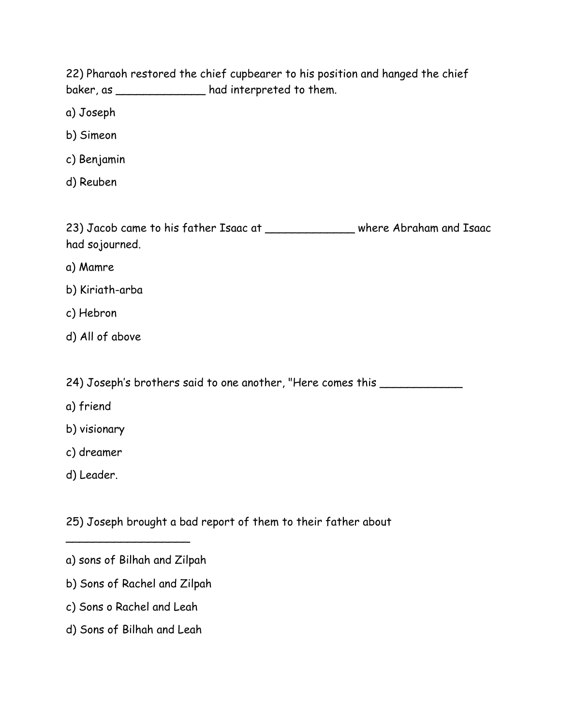22) Pharaoh restored the chief cupbearer to his position and hanged the chief baker, as \_\_\_\_\_\_\_\_\_\_\_\_\_ had interpreted to them.

a) Joseph

- b) Simeon
- c) Benjamin
- d) Reuben

23) Jacob came to his father Isaac at where Abraham and Isaac had sojourned.

- a) Mamre
- b) Kiriath-arba
- c) Hebron
- d) All of above

24) Joseph's brothers said to one another, "Here comes this \_\_\_\_\_\_\_\_\_\_\_\_\_\_\_

- a) friend
- b) visionary
- c) dreamer
- d) Leader.

25) Joseph brought a bad report of them to their father about

 $\overline{\phantom{a}}$ 

- b) Sons of Rachel and Zilpah
- c) Sons o Rachel and Leah
- d) Sons of Bilhah and Leah

a) sons of Bilhah and Zilpah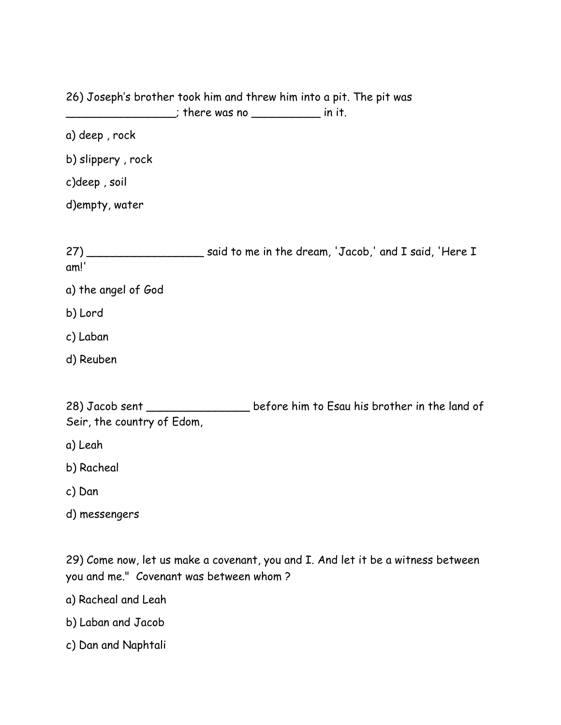26) Joseph's brother took him and threw him into a pit. The pit was \_\_\_\_\_\_\_\_\_\_\_\_\_\_\_\_\_; there was no \_\_\_\_\_\_\_\_\_\_\_\_\_\_\_\_ in it.

a) deep , rock

b) slippery , rock

c)deep , soil

d)empty, water

27) \_\_\_\_\_\_\_\_\_\_\_\_\_\_\_\_\_\_\_\_\_\_ said to me in the dream, 'Jacob,' and I said, 'Here I am!'

- a) the angel of God
- b) Lord
- c) Laban
- d) Reuben

28) Jacob sent \_\_\_\_\_\_\_\_\_\_\_\_\_\_\_\_\_\_ before him to Esau his brother in the land of Seir, the country of Edom,

a) Leah

- b) Racheal
- c) Dan
- d) messengers

29) Come now, let us make a covenant, you and I. And let it be a witness between you and me." Covenant was between whom ?

a) Racheal and Leah

b) Laban and Jacob

c) Dan and Naphtali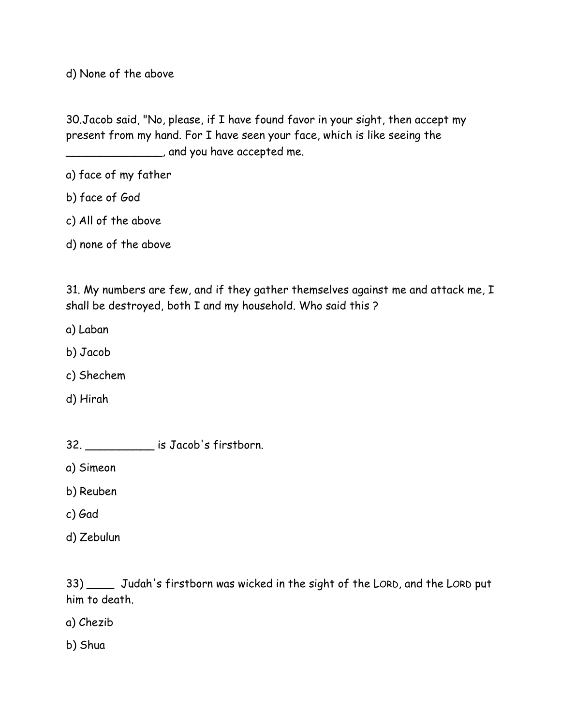d) None of the above

30.Jacob said, "No, please, if I have found favor in your sight, then accept my present from my hand. For I have seen your face, which is like seeing the \_\_\_\_\_\_\_\_\_\_\_\_\_\_, and you have accepted me.

- a) face of my father
- b) face of God
- c) All of the above
- d) none of the above

31. My numbers are few, and if they gather themselves against me and attack me, I shall be destroyed, both I and my household. Who said this ?

- a) Laban
- b) Jacob
- c) Shechem
- d) Hirah

| 32. | is Jacob's firstborn. |
|-----|-----------------------|
|-----|-----------------------|

a) Simeon

- b) Reuben
- c) Gad
- d) Zebulun

33) \_\_\_\_ Judah's firstborn was wicked in the sight of the LORD, and the LORD put him to death.

- a) Chezib
- b) Shua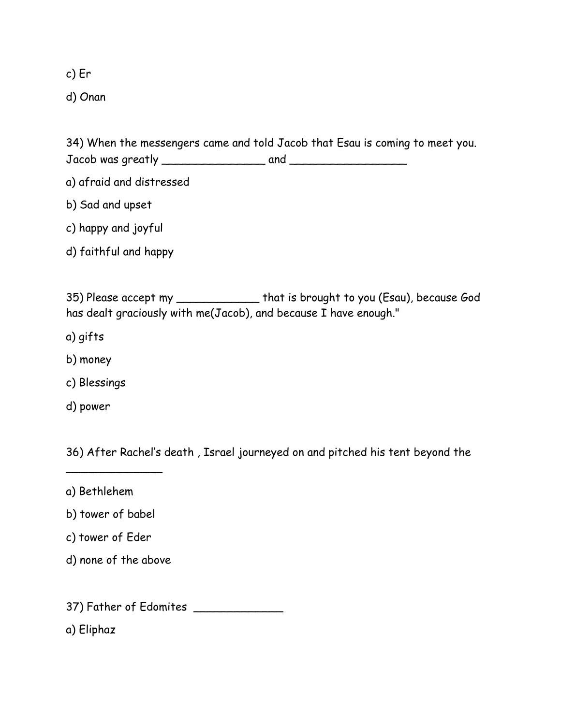c) Er

d) Onan

34) When the messengers came and told Jacob that Esau is coming to meet you. Jacob was greatly \_\_\_\_\_\_\_\_\_\_\_\_\_\_\_ and \_\_\_\_\_\_\_\_\_\_\_\_\_\_\_\_\_

- a) afraid and distressed
- b) Sad and upset
- c) happy and joyful
- d) faithful and happy

35) Please accept my \_\_\_\_\_\_\_\_\_\_\_\_ that is brought to you (Esau), because God has dealt graciously with me(Jacob), and because I have enough."

- a) gifts
- b) money
- c) Blessings
- d) power

36) After Rachel's death , Israel journeyed on and pitched his tent beyond the

- a) Bethlehem
- b) tower of babel

 $\overline{\phantom{a}}$ 

- c) tower of Eder
- d) none of the above

37) Father of Edomites \_\_\_\_\_\_\_\_\_\_\_\_\_

a) Eliphaz